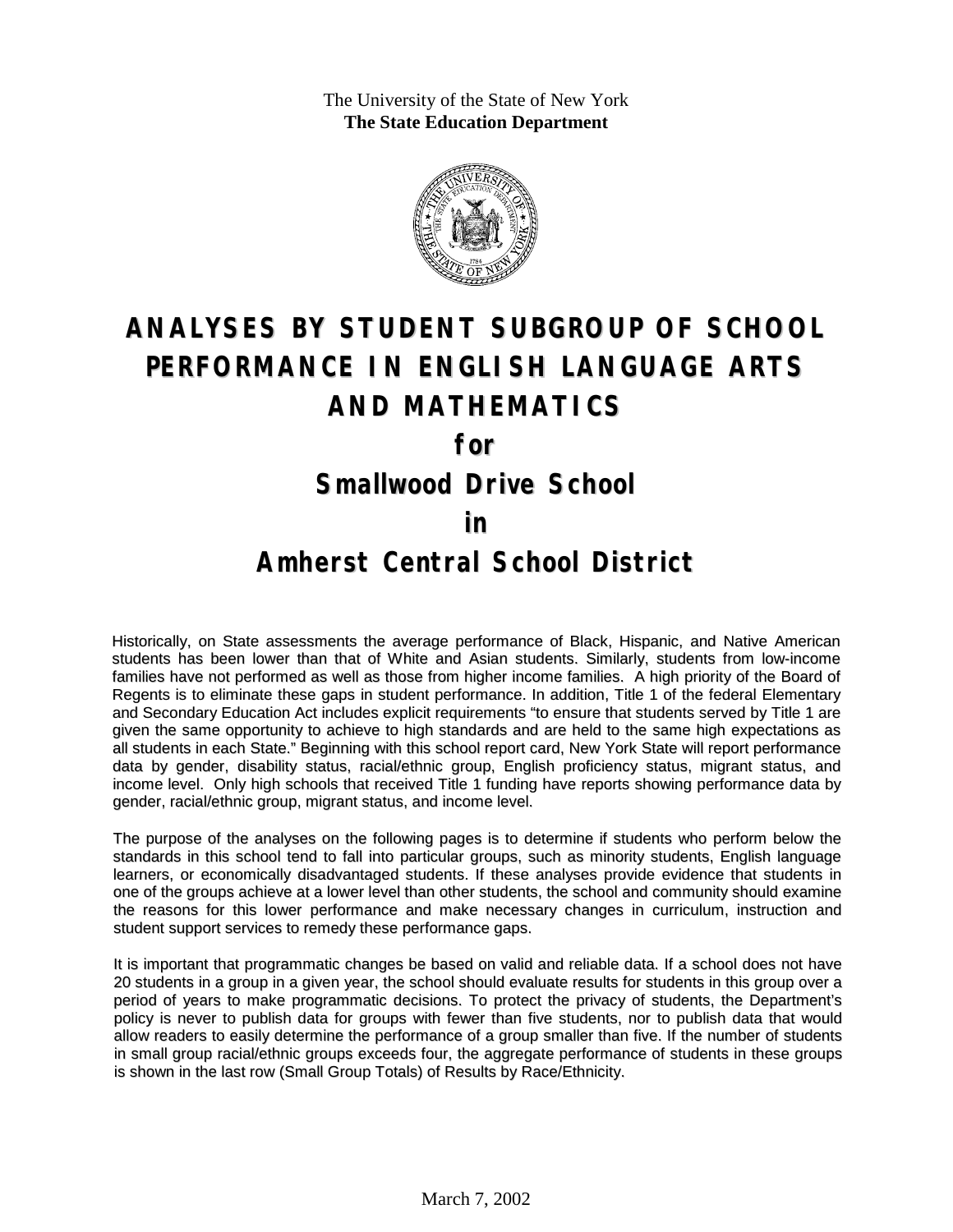The University of the State of New York **The State Education Department**



# **ANALYSES BY STUDENT SUBGROUP OF SCHOOL PERFORMANCE IN ENGLISH LANGUAGE ARTS AND MATHEMATICS**

**for**

**Smallwood Drive School**

#### **in**

### **Amherst Central School District**

Historically, on State assessments the average performance of Black, Hispanic, and Native American students has been lower than that of White and Asian students. Similarly, students from low-income families have not performed as well as those from higher income families. A high priority of the Board of Regents is to eliminate these gaps in student performance. In addition, Title 1 of the federal Elementary and Secondary Education Act includes explicit requirements "to ensure that students served by Title 1 are given the same opportunity to achieve to high standards and are held to the same high expectations as all students in each State." Beginning with this school report card, New York State will report performance data by gender, disability status, racial/ethnic group, English proficiency status, migrant status, and income level. Only high schools that received Title 1 funding have reports showing performance data by gender, racial/ethnic group, migrant status, and income level.

The purpose of the analyses on the following pages is to determine if students who perform below the standards in this school tend to fall into particular groups, such as minority students, English language learners, or economically disadvantaged students. If these analyses provide evidence that students in one of the groups achieve at a lower level than other students, the school and community should examine the reasons for this lower performance and make necessary changes in curriculum, instruction and student support services to remedy these performance gaps.

It is important that programmatic changes be based on valid and reliable data. If a school does not have 20 students in a group in a given year, the school should evaluate results for students in this group over a period of years to make programmatic decisions. To protect the privacy of students, the Department's policy is never to publish data for groups with fewer than five students, nor to publish data that would allow readers to easily determine the performance of a group smaller than five. If the number of students in small group racial/ethnic groups exceeds four, the aggregate performance of students in these groups is shown in the last row (Small Group Totals) of Results by Race/Ethnicity.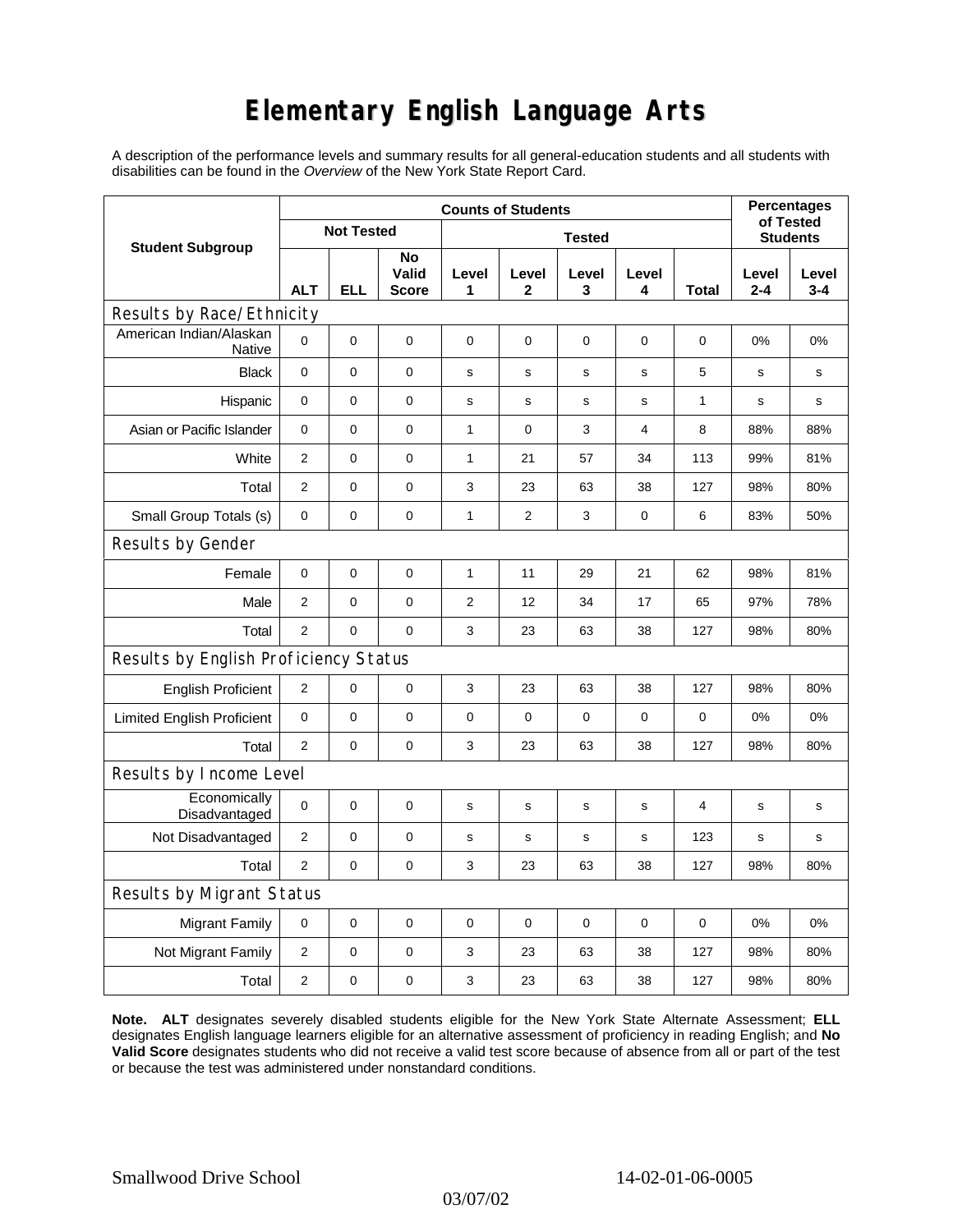## **Elementary English Language Arts**

A description of the performance levels and summary results for all general-education students and all students with disabilities can be found in the *Overview* of the New York State Report Card.

|                                       | <b>Counts of Students</b> |             |                      |                |             |             |             |              | <b>Percentages</b><br>of Tested |                  |
|---------------------------------------|---------------------------|-------------|----------------------|----------------|-------------|-------------|-------------|--------------|---------------------------------|------------------|
| <b>Student Subgroup</b>               | <b>Not Tested</b>         |             |                      | <b>Tested</b>  |             |             |             |              | <b>Students</b>                 |                  |
|                                       | <b>ALT</b>                | ELL         | No<br>Valid<br>Score | Level<br>1     | Level<br>2  | Level<br>3  | Level<br>4  | Total        | Level<br>$2 - 4$                | Level<br>$3 - 4$ |
| Results by Race/Ethnicity             |                           |             |                      |                |             |             |             |              |                                 |                  |
| American Indian/Alaskan<br>Native     | $\Omega$                  | $\mathbf 0$ | $\mathbf 0$          | 0              | $\mathbf 0$ | 0           | 0           | 0            | 0%                              | 0%               |
| <b>Black</b>                          | $\mathbf 0$               | $\mathbf 0$ | $\mathbf 0$          | s              | $\mathbf s$ | s           | $\mathbf s$ | 5            | $\mathbf s$                     | $\mathbf s$      |
| Hispanic                              | 0                         | 0           | 0                    | s              | $\mathbf S$ | s           | s           | $\mathbf{1}$ | s                               | s                |
| Asian or Pacific Islander             | 0                         | 0           | 0                    | 1              | 0           | 3           | 4           | 8            | 88%                             | 88%              |
| White                                 | $\overline{2}$            | 0           | $\pmb{0}$            | $\mathbf{1}$   | 21          | 57          | 34          | 113          | 99%                             | 81%              |
| Total                                 | 2                         | 0           | $\pmb{0}$            | 3              | 23          | 63          | 38          | 127          | 98%                             | 80%              |
| Small Group Totals (s)                | 0                         | 0           | 0                    | 1              | 2           | 3           | 0           | 6            | 83%                             | 50%              |
| Results by Gender                     |                           |             |                      |                |             |             |             |              |                                 |                  |
| Female                                | $\mathbf 0$               | 0           | $\pmb{0}$            | $\mathbf{1}$   | 11          | 29          | 21          | 62           | 98%                             | 81%              |
| Male                                  | $\overline{2}$            | 0           | $\pmb{0}$            | $\overline{2}$ | 12          | 34          | 17          | 65           | 97%                             | 78%              |
| Total                                 | $\overline{2}$            | 0           | $\mathbf 0$          | 3              | 23          | 63          | 38          | 127          | 98%                             | 80%              |
| Results by English Proficiency Status |                           |             |                      |                |             |             |             |              |                                 |                  |
| <b>English Proficient</b>             | 2                         | 0           | $\pmb{0}$            | 3              | 23          | 63          | 38          | 127          | 98%                             | 80%              |
| <b>Limited English Proficient</b>     | 0                         | 0           | $\pmb{0}$            | $\pmb{0}$      | $\mathbf 0$ | 0           | $\mathbf 0$ | 0            | 0%                              | 0%               |
| Total                                 | $\overline{2}$            | $\pmb{0}$   | 0                    | 3              | 23          | 63          | 38          | 127          | 98%                             | 80%              |
| Results by Income Level               |                           |             |                      |                |             |             |             |              |                                 |                  |
| Economically<br>Disadvantaged         | $\mathbf 0$               | 0           | $\mathbf 0$          | s              | $\mathbf s$ | $\mathbf s$ | s           | 4            | $\mathbf s$                     | $\mathbf s$      |
| Not Disadvantaged                     | 2                         | 0           | $\mathbf 0$          | $\mathbf s$    | S           | $\mathbf s$ | s           | 123          | $\mathbf s$                     | s                |
| Total                                 | $\overline{2}$            | $\Omega$    | $\pmb{0}$            | 3              | 23          | 63          | 38          | 127          | 98%                             | 80%              |
| Results by Migrant Status             |                           |             |                      |                |             |             |             |              |                                 |                  |
| <b>Migrant Family</b>                 | 0                         | 0           | 0                    | $\pmb{0}$      | 0           | 0           | $\pmb{0}$   | 0            | 0%                              | 0%               |
| Not Migrant Family                    | 2                         | $\mathbf 0$ | 0                    | 3              | 23          | 63          | 38          | 127          | 98%                             | 80%              |
| Total                                 | $\overline{2}$            | 0           | $\pmb{0}$            | 3              | 23          | 63          | 38          | 127          | 98%                             | 80%              |

**Note. ALT** designates severely disabled students eligible for the New York State Alternate Assessment; **ELL** designates English language learners eligible for an alternative assessment of proficiency in reading English; and **No Valid Score** designates students who did not receive a valid test score because of absence from all or part of the test or because the test was administered under nonstandard conditions.